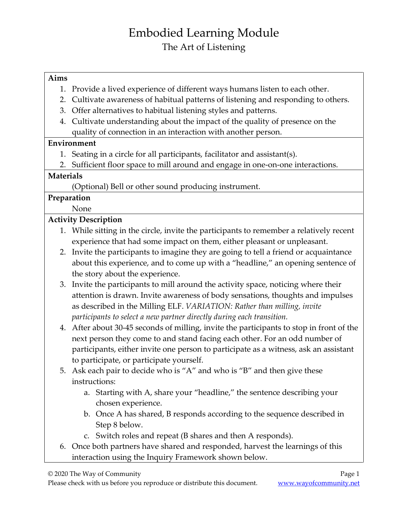# Embodied Learning Module The Art of Listening

#### **Aims**

- 1. Provide a lived experience of different ways humans listen to each other.
- 2. Cultivate awareness of habitual patterns of listening and responding to others.
- 3. Offer alternatives to habitual listening styles and patterns.
- 4. Cultivate understanding about the impact of the quality of presence on the quality of connection in an interaction with another person.

### **Environment**

- 1. Seating in a circle for all participants, facilitator and assistant(s).
- 2. Sufficient floor space to mill around and engage in one-on-one interactions.

### **Materials**

(Optional) Bell or other sound producing instrument.

### **Preparation**

None

### **Activity Description**

- 1. While sitting in the circle, invite the participants to remember a relatively recent experience that had some impact on them, either pleasant or unpleasant.
- 2. Invite the participants to imagine they are going to tell a friend or acquaintance about this experience, and to come up with a "headline," an opening sentence of the story about the experience.
- 3. Invite the participants to mill around the activity space, noticing where their attention is drawn. Invite awareness of body sensations, thoughts and impulses as described in the Milling ELF. *VARIATION: Rather than milling, invite participants to select a new partner directly during each transition.*
- 4. After about 30-45 seconds of milling, invite the participants to stop in front of the next person they come to and stand facing each other. For an odd number of participants, either invite one person to participate as a witness, ask an assistant to participate, or participate yourself.
- 5. Ask each pair to decide who is "A" and who is "B" and then give these instructions:
	- a. Starting with A, share your "headline," the sentence describing your chosen experience.
	- b. Once A has shared, B responds according to the sequence described in Step 8 below.
	- c. Switch roles and repeat (B shares and then A responds).
- 6. Once both partners have shared and responded, harvest the learnings of this interaction using the Inquiry Framework shown below.

© 2020 The Way of Community Page 1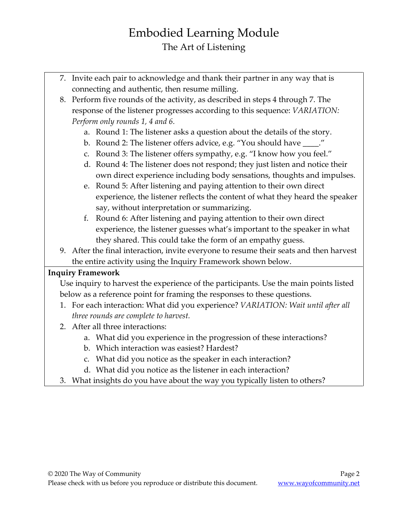### Embodied Learning Module The Art of Listening

- 7. Invite each pair to acknowledge and thank their partner in any way that is connecting and authentic, then resume milling.
- 8. Perform five rounds of the activity, as described in steps 4 through 7. The response of the listener progresses according to this sequence: *VARIATION: Perform only rounds 1, 4 and 6.*
	- a. Round 1: The listener asks a question about the details of the story.
	- b. Round 2: The listener offers advice, e.g. "You should have \_\_\_\_."
	- c. Round 3: The listener offers sympathy, e.g. "I know how you feel."
	- d. Round 4: The listener does not respond; they just listen and notice their own direct experience including body sensations, thoughts and impulses.
	- e. Round 5: After listening and paying attention to their own direct experience, the listener reflects the content of what they heard the speaker say, without interpretation or summarizing.
	- f. Round 6: After listening and paying attention to their own direct experience, the listener guesses what's important to the speaker in what they shared. This could take the form of an empathy guess.
- 9. After the final interaction, invite everyone to resume their seats and then harvest the entire activity using the Inquiry Framework shown below.

### **Inquiry Framework**

Use inquiry to harvest the experience of the participants. Use the main points listed below as a reference point for framing the responses to these questions.

- 1. For each interaction: What did you experience? *VARIATION: Wait until after all three rounds are complete to harvest.*
- 2. After all three interactions:
	- a. What did you experience in the progression of these interactions?
	- b. Which interaction was easiest? Hardest?
	- c. What did you notice as the speaker in each interaction?
	- d. What did you notice as the listener in each interaction?
- 3. What insights do you have about the way you typically listen to others?